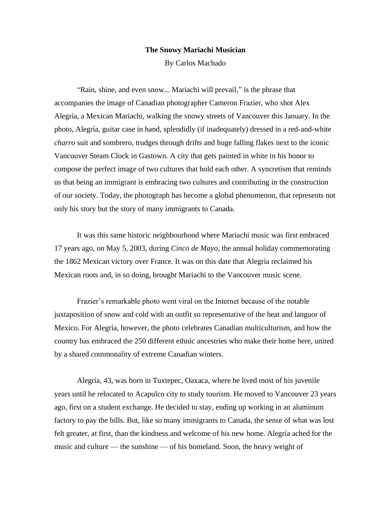## **The Snowy Mariachi Musician**

By Carlos Machado

"Rain, shine, and even snow... Mariachi will prevail," is the phrase that accompanies the image of Canadian photographer Cameron Frazier, who shot Alex Alegría, a Mexican Mariachi, walking the snowy streets of Vancouver this January. In the photo, Alegría, guitar case in hand, splendidly (if inadequately) dressed in a red-and-white *charro* suit and sombrero, trudges through drifts and huge falling flakes next to the iconic Vancouver Steam Clock in Gastown. A city that gets painted in white in his honor to compose the perfect image of two cultures that hold each other. A syncretism that reminds us that being an immigrant is embracing two cultures and contributing in the construction of our society. Today, the photograph has become a global phenomenon, that represents not only his story but the story of many immigrants to Canada.

It was this same historic neighbourhood where Mariachi music was first embraced 17 years ago, on May 5, 2003, during *Cinco de Mayo*, the annual holiday commemorating the 1862 Mexican victory over France. It was on this date that Alegría reclaimed his Mexican roots and, in so doing, brought Mariachi to the Vancouver music scene.

Frazier's remarkable photo went viral on the Internet because of the notable juxtaposition of snow and cold with an outfit so representative of the heat and languor of Mexico. For Alegría, however, the photo celebrates Canadian multiculturism, and how the country has embraced the 250 different ethnic ancestries who make their home here, united by a shared commonality of extreme Canadian winters.

Alegría, 43, was born in Tuxtepec, Oaxaca, where he lived most of his juvenile years until he relocated to Acapulco city to study tourism. He moved to Vancouver 23 years ago, first on a student exchange. He decided to stay, ending up working in an aluminum factory to pay the bills. But, like so many immigrants to Canada, the sense of what was lost felt greater, at first, than the kindness and welcome of his new home. Alegría ached for the music and culture — the sunshine — of his homeland. Soon, the heavy weight of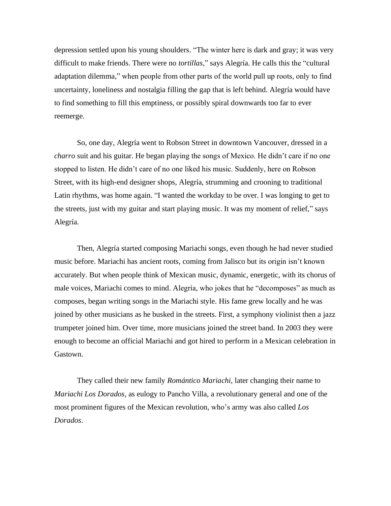depression settled upon his young shoulders. "The winter here is dark and gray; it was very difficult to make friends. There were no *tortillas*," says Alegría. He calls this the "cultural adaptation dilemma," when people from other parts of the world pull up roots, only to find uncertainty, loneliness and nostalgia filling the gap that is left behind. Alegría would have to find something to fill this emptiness, or possibly spiral downwards too far to ever reemerge.

So, one day, Alegría went to Robson Street in downtown Vancouver, dressed in a *charro* suit and his guitar. He began playing the songs of Mexico. He didn't care if no one stopped to listen. He didn't care of no one liked his music. Suddenly, here on Robson Street, with its high-end designer shops, Alegría, strumming and crooning to traditional Latin rhythms, was home again. "I wanted the workday to be over. I was longing to get to the streets, just with my guitar and start playing music. It was my moment of relief," says Alegría.

Then, Alegría started composing Mariachi songs, even though he had never studied music before. Mariachi has ancient roots, coming from Jalisco but its origin isn't known accurately. But when people think of Mexican music, dynamic, energetic, with its chorus of male voices, Mariachi comes to mind. Alegría, who jokes that he "decomposes" as much as composes, began writing songs in the Mariachi style. His fame grew locally and he was joined by other musicians as he busked in the streets. First, a symphony violinist then a jazz trumpeter joined him. Over time, more musicians joined the street band. In 2003 they were enough to become an official Mariachi and got hired to perform in a Mexican celebration in Gastown.

They called their new family *Romántico Mariachi*, later changing their name to *Mariachi Los Dorados*, as eulogy to Pancho Villa, a revolutionary general and one of the most prominent figures of the Mexican revolution, who's army was also called *Los Dorados*.